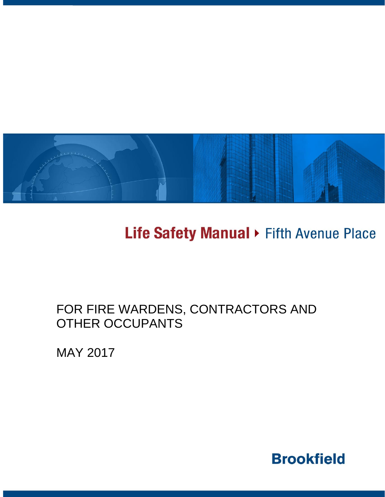

# Life Safety Manual > Fifth Avenue Place

## FOR FIRE WARDENS, CONTRACTORS AND OTHER OCCUPANTS

MAY 2017

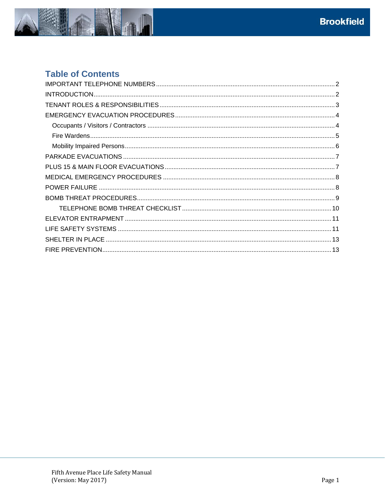

### **Table of Contents**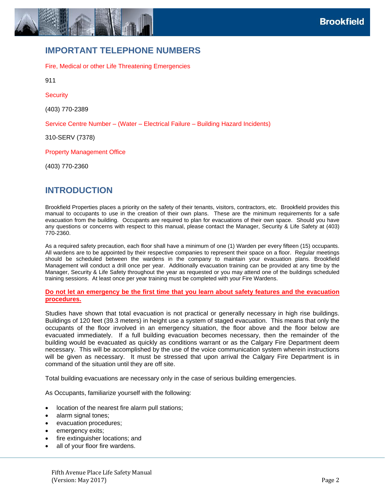

### <span id="page-2-0"></span>**IMPORTANT TELEPHONE NUMBERS**

Fire, Medical or other Life Threatening Emergencies

911

**Security** 

(403) 770-2389

Service Centre Number – (Water – Electrical Failure – Building Hazard Incidents)

310-SERV (7378)

Property Management Office

<span id="page-2-1"></span>(403) 770-2360

### **INTRODUCTION**

Brookfield Properties places a priority on the safety of their tenants, visitors, contractors, etc. Brookfield provides this manual to occupants to use in the creation of their own plans. These are the minimum requirements for a safe evacuation from the building. Occupants are required to plan for evacuations of their own space. Should you have any questions or concerns with respect to this manual, please contact the Manager, Security & Life Safety at (403) 770-2360.

As a required safety precaution, each floor shall have a minimum of one (1) Warden per every fifteen (15) occupants. All wardens are to be appointed by their respective companies to represent their space on a floor. Regular meetings should be scheduled between the wardens in the company to maintain your evacuation plans. Brookfield Management will conduct a drill once per year. Additionally evacuation training can be provided at any time by the Manager, Security & Life Safety throughout the year as requested or you may attend one of the buildings scheduled training sessions. At least once per year training must be completed with your Fire Wardens.

#### **Do not let an emergency be the first time that you learn about safety features and the evacuation procedures.**

Studies have shown that total evacuation is not practical or generally necessary in high rise buildings. Buildings of 120 feet (39.3 meters) in height use a system of staged evacuation. This means that only the occupants of the floor involved in an emergency situation, the floor above and the floor below are evacuated immediately. If a full building evacuation becomes necessary, then the remainder of the building would be evacuated as quickly as conditions warrant or as the Calgary Fire Department deem necessary. This will be accomplished by the use of the voice communication system wherein instructions will be given as necessary. It must be stressed that upon arrival the Calgary Fire Department is in command of the situation until they are off site.

Total building evacuations are necessary only in the case of serious building emergencies.

As Occupants, familiarize yourself with the following:

- location of the nearest fire alarm pull stations;
- alarm signal tones;
- evacuation procedures;
- emergency exits;
- fire extinguisher locations; and
- all of your floor fire wardens.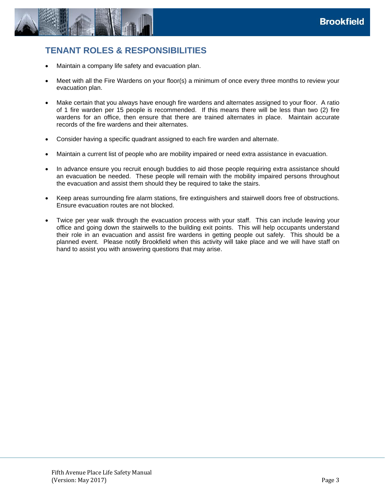

### <span id="page-3-0"></span>**TENANT ROLES & RESPONSIBILITIES**

- Maintain a company life safety and evacuation plan.
- Meet with all the Fire Wardens on your floor(s) a minimum of once every three months to review your evacuation plan.
- Make certain that you always have enough fire wardens and alternates assigned to your floor. A ratio of 1 fire warden per 15 people is recommended. If this means there will be less than two (2) fire wardens for an office, then ensure that there are trained alternates in place. Maintain accurate records of the fire wardens and their alternates.
- Consider having a specific quadrant assigned to each fire warden and alternate.
- Maintain a current list of people who are mobility impaired or need extra assistance in evacuation.
- In advance ensure you recruit enough buddies to aid those people requiring extra assistance should an evacuation be needed. These people will remain with the mobility impaired persons throughout the evacuation and assist them should they be required to take the stairs.
- Keep areas surrounding fire alarm stations, fire extinguishers and stairwell doors free of obstructions. Ensure evacuation routes are not blocked.
- Twice per year walk through the evacuation process with your staff. This can include leaving your office and going down the stairwells to the building exit points. This will help occupants understand their role in an evacuation and assist fire wardens in getting people out safely. This should be a planned event. Please notify Brookfield when this activity will take place and we will have staff on hand to assist you with answering questions that may arise.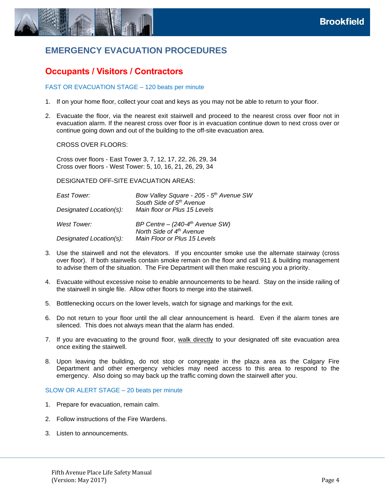

### <span id="page-4-0"></span>**EMERGENCY EVACUATION PROCEDURES**

### <span id="page-4-1"></span>**Occupants / Visitors / Contractors**

#### FAST OR EVACUATION STAGE – 120 beats per minute

- 1. If on your home floor, collect your coat and keys as you may not be able to return to your floor.
- 2. Evacuate the floor, via the nearest exit stairwell and proceed to the nearest cross over floor not in evacuation alarm. If the nearest cross over floor is in evacuation continue down to next cross over or continue going down and out of the building to the off-site evacuation area.

CROSS OVER FLOORS:

Cross over floors - East Tower 3, 7, 12, 17, 22, 26, 29, 34 Cross over floors - West Tower: 5, 10, 16, 21, 26, 29, 34

DESIGNATED OFF-SITE EVACUATION AREAS:

| East Tower:<br>Designated Location(s): | Bow Valley Square - 205 - 5 <sup>th</sup> Avenue SW<br>South Side of 5th Avenue<br>Main floor or Plus 15 Levels |
|----------------------------------------|-----------------------------------------------------------------------------------------------------------------|
| West Tower:                            | BP Centre - $(240-4th$ Avenue SW)<br>North Side of 4th Avenue                                                   |
| Designated Location(s):                | Main Floor or Plus 15 Levels                                                                                    |

- 3. Use the stairwell and not the elevators. If you encounter smoke use the alternate stairway (cross over floor). If both stairwells contain smoke remain on the floor and call 911 & building management to advise them of the situation. The Fire Department will then make rescuing you a priority.
- 4. Evacuate without excessive noise to enable announcements to be heard. Stay on the inside railing of the stairwell in single file. Allow other floors to merge into the stairwell.
- 5. Bottlenecking occurs on the lower levels, watch for signage and markings for the exit.
- 6. Do not return to your floor until the all clear announcement is heard. Even if the alarm tones are silenced. This does not always mean that the alarm has ended.
- 7. If you are evacuating to the ground floor, walk directly to your designated off site evacuation area once exiting the stairwell.
- 8. Upon leaving the building, do not stop or congregate in the plaza area as the Calgary Fire Department and other emergency vehicles may need access to this area to respond to the emergency. Also doing so may back up the traffic coming down the stairwell after you.

#### SLOW OR ALERT STAGE – 20 beats per minute

- 1. Prepare for evacuation, remain calm.
- 2. Follow instructions of the Fire Wardens.
- 3. Listen to announcements.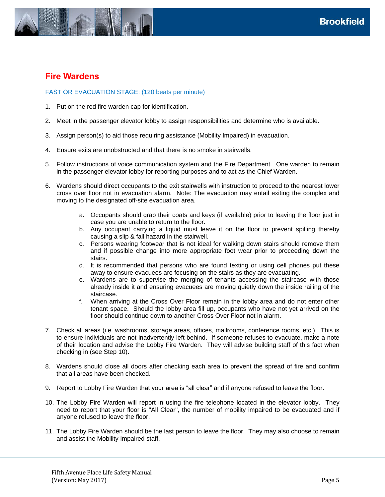

### <span id="page-5-0"></span>**Fire Wardens**

#### FAST OR EVACUATION STAGE: (120 beats per minute)

- 1. Put on the red fire warden cap for identification.
- 2. Meet in the passenger elevator lobby to assign responsibilities and determine who is available.
- 3. Assign person(s) to aid those requiring assistance (Mobility Impaired) in evacuation.
- 4. Ensure exits are unobstructed and that there is no smoke in stairwells.
- 5. Follow instructions of voice communication system and the Fire Department. One warden to remain in the passenger elevator lobby for reporting purposes and to act as the Chief Warden.
- 6. Wardens should direct occupants to the exit stairwells with instruction to proceed to the nearest lower cross over floor not in evacuation alarm. Note: The evacuation may entail exiting the complex and moving to the designated off-site evacuation area.
	- a. Occupants should grab their coats and keys (if available) prior to leaving the floor just in case you are unable to return to the floor.
	- b. Any occupant carrying a liquid must leave it on the floor to prevent spilling thereby causing a slip & fall hazard in the stairwell.
	- c. Persons wearing footwear that is not ideal for walking down stairs should remove them and if possible change into more appropriate foot wear prior to proceeding down the stairs.
	- d. It is recommended that persons who are found texting or using cell phones put these away to ensure evacuees are focusing on the stairs as they are evacuating.
	- e. Wardens are to supervise the merging of tenants accessing the staircase with those already inside it and ensuring evacuees are moving quietly down the inside railing of the staircase.
	- f. When arriving at the Cross Over Floor remain in the lobby area and do not enter other tenant space. Should the lobby area fill up, occupants who have not yet arrived on the floor should continue down to another Cross Over Floor not in alarm.
- 7. Check all areas (i.e. washrooms, storage areas, offices, mailrooms, conference rooms, etc.). This is to ensure individuals are not inadvertently left behind. If someone refuses to evacuate, make a note of their location and advise the Lobby Fire Warden. They will advise building staff of this fact when checking in (see Step 10).
- 8. Wardens should close all doors after checking each area to prevent the spread of fire and confirm that all areas have been checked.
- 9. Report to Lobby Fire Warden that your area is "all clear" and if anyone refused to leave the floor.
- 10. The Lobby Fire Warden will report in using the fire telephone located in the elevator lobby. They need to report that your floor is "All Clear", the number of mobility impaired to be evacuated and if anyone refused to leave the floor.
- 11. The Lobby Fire Warden should be the last person to leave the floor. They may also choose to remain and assist the Mobility Impaired staff.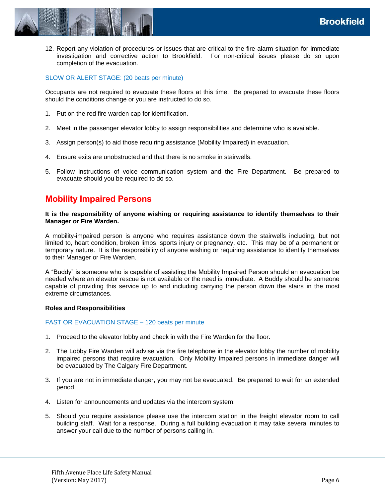

12. Report any violation of procedures or issues that are critical to the fire alarm situation for immediate investigation and corrective action to Brookfield. For non-critical issues please do so upon completion of the evacuation.

#### SLOW OR ALERT STAGE: (20 beats per minute)

Occupants are not required to evacuate these floors at this time. Be prepared to evacuate these floors should the conditions change or you are instructed to do so.

- 1. Put on the red fire warden cap for identification.
- 2. Meet in the passenger elevator lobby to assign responsibilities and determine who is available.
- 3. Assign person(s) to aid those requiring assistance (Mobility Impaired) in evacuation.
- 4. Ensure exits are unobstructed and that there is no smoke in stairwells.
- 5. Follow instructions of voice communication system and the Fire Department. Be prepared to evacuate should you be required to do so.

#### <span id="page-6-0"></span>**Mobility Impaired Persons**

**It is the responsibility of anyone wishing or requiring assistance to identify themselves to their Manager or Fire Warden.** 

A mobility-impaired person is anyone who requires assistance down the stairwells including, but not limited to, heart condition, broken limbs, sports injury or pregnancy, etc. This may be of a permanent or temporary nature. It is the responsibility of anyone wishing or requiring assistance to identify themselves to their Manager or Fire Warden.

A "Buddy" is someone who is capable of assisting the Mobility Impaired Person should an evacuation be needed where an elevator rescue is not available or the need is immediate. A Buddy should be someone capable of providing this service up to and including carrying the person down the stairs in the most extreme circumstances.

#### **Roles and Responsibilities**

#### FAST OR EVACUATION STAGE – 120 beats per minute

- 1. Proceed to the elevator lobby and check in with the Fire Warden for the floor.
- 2. The Lobby Fire Warden will advise via the fire telephone in the elevator lobby the number of mobility impaired persons that require evacuation. Only Mobility Impaired persons in immediate danger will be evacuated by The Calgary Fire Department.
- 3. If you are not in immediate danger, you may not be evacuated. Be prepared to wait for an extended period.
- 4. Listen for announcements and updates via the intercom system.
- 5. Should you require assistance please use the intercom station in the freight elevator room to call building staff. Wait for a response. During a full building evacuation it may take several minutes to answer your call due to the number of persons calling in.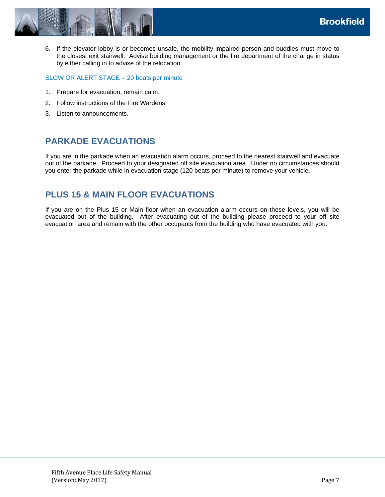

SLOW OR ALERT STAGE – 20 beats per minute

- 1. Prepare for evacuation, remain calm.
- 2. Follow instructions of the Fire Wardens.
- <span id="page-7-0"></span>3. Listen to announcements.

### **PARKADE EVACUATIONS**

If you are in the parkade when an evacuation alarm occurs, proceed to the nearest stairwell and evacuate out of the parkade. Proceed to your designated off site evacuation area. Under no circumstances should you enter the parkade while in evacuation stage (120 beats per minute) to remove your vehicle.

### <span id="page-7-1"></span>**PLUS 15 & MAIN FLOOR EVACUATIONS**

If you are on the Plus 15 or Main floor when an evacuation alarm occurs on those levels, you will be evacuated out of the building. After evacuating out of the building please proceed to your off site evacuation area and remain with the other occupants from the building who have evacuated with you.

**Brookfield**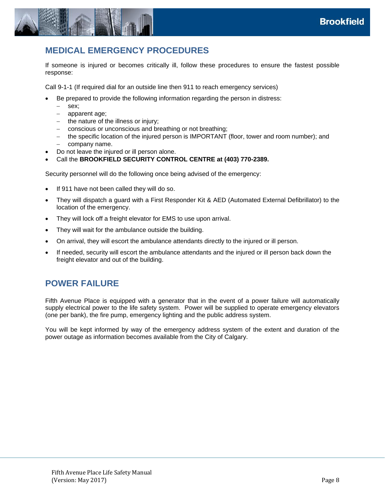

### <span id="page-8-0"></span>**MEDICAL EMERGENCY PROCEDURES**

If someone is injured or becomes critically ill, follow these procedures to ensure the fastest possible response:

Call 9-1-1 (If required dial for an outside line then 911 to reach emergency services)

- Be prepared to provide the following information regarding the person in distress:
	- sex;
	- apparent age;
	- $-$  the nature of the illness or injury;
	- conscious or unconscious and breathing or not breathing;
	- the specific location of the injured person is IMPORTANT (floor, tower and room number); and
	- $-$  company name.
- Do not leave the injured or ill person alone.
- Call the **BROOKFIELD SECURITY CONTROL CENTRE at (403) 770-2389.**

Security personnel will do the following once being advised of the emergency:

- If 911 have not been called they will do so.
- They will dispatch a guard with a First Responder Kit & AED (Automated External Defibrillator) to the location of the emergency.
- They will lock off a freight elevator for EMS to use upon arrival.
- They will wait for the ambulance outside the building.
- On arrival, they will escort the ambulance attendants directly to the injured or ill person.
- <span id="page-8-1"></span> If needed, security will escort the ambulance attendants and the injured or ill person back down the freight elevator and out of the building.

#### **POWER FAILURE**

Fifth Avenue Place is equipped with a generator that in the event of a power failure will automatically supply electrical power to the life safety system. Power will be supplied to operate emergency elevators (one per bank), the fire pump, emergency lighting and the public address system.

You will be kept informed by way of the emergency address system of the extent and duration of the power outage as information becomes available from the City of Calgary.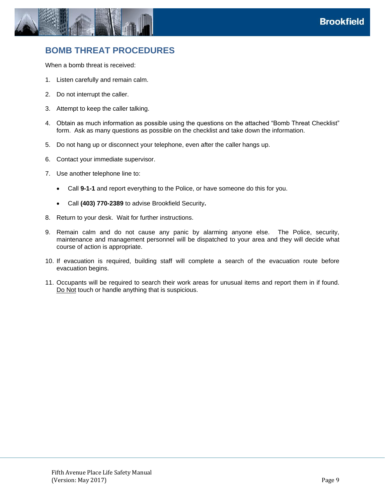

### <span id="page-9-0"></span>**BOMB THREAT PROCEDURES**

When a bomb threat is received:

- 1. Listen carefully and remain calm.
- 2. Do not interrupt the caller.
- 3. Attempt to keep the caller talking.
- 4. Obtain as much information as possible using the questions on the attached "Bomb Threat Checklist" form. Ask as many questions as possible on the checklist and take down the information.
- 5. Do not hang up or disconnect your telephone, even after the caller hangs up.
- 6. Contact your immediate supervisor.
- 7. Use another telephone line to:
	- Call **9-1-1** and report everything to the Police, or have someone do this for you.
	- Call **(403) 770-2389** to advise Brookfield Security**.**
- 8. Return to your desk. Wait for further instructions.
- 9. Remain calm and do not cause any panic by alarming anyone else. The Police, security, maintenance and management personnel will be dispatched to your area and they will decide what course of action is appropriate.
- 10. If evacuation is required, building staff will complete a search of the evacuation route before evacuation begins.
- 11. Occupants will be required to search their work areas for unusual items and report them in if found. Do Not touch or handle anything that is suspicious.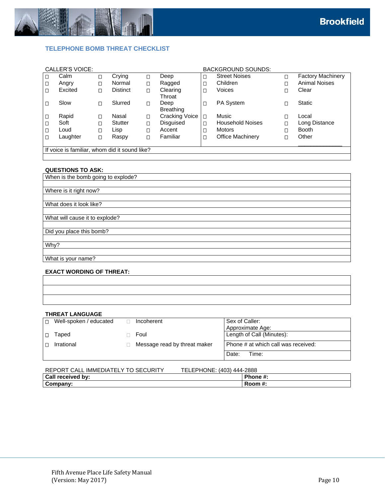

#### <span id="page-10-0"></span>**TELEPHONE BOMB THREAT CHECKLIST**

|                                               | <b>CALLER'S VOICE:</b> |   |                 |        |                       |        | <b>BACKGROUND SOUNDS:</b> |        |                          |
|-----------------------------------------------|------------------------|---|-----------------|--------|-----------------------|--------|---------------------------|--------|--------------------------|
| $\Box$                                        | Calm                   | Π | Crying          | О      | Deep                  | О      | <b>Street Noises</b>      | П      | <b>Factory Machinery</b> |
| $\Box$                                        | Angry                  | □ | Normal          | $\Box$ | Ragged                | $\Box$ | Children                  | $\Box$ | <b>Animal Noises</b>     |
| Ω                                             | Excited                | □ | <b>Distinct</b> | $\Box$ | Clearing              | П      | Voices                    | $\Box$ | Clear                    |
|                                               |                        |   |                 |        | Throat                |        |                           |        |                          |
|                                               | Slow                   | Π | Slurred         | $\Box$ | Deep                  | О      | PA System                 |        | <b>Static</b>            |
|                                               |                        |   |                 |        | <b>Breathing</b>      |        |                           |        |                          |
| $\Box$                                        | Rapid                  | П | Nasal           | $\Box$ | <b>Cracking Voice</b> | П      | Music                     |        | Local                    |
| □                                             | Soft                   | Π | <b>Stutter</b>  | $\Box$ | <b>Disquised</b>      | Π      | <b>Household Noises</b>   | □      | Long Distance            |
| $\Box$                                        | Loud                   | П | Lisp            | П      | Accent                | $\Box$ | <b>Motors</b>             | П      | <b>Booth</b>             |
| $\Box$                                        | Laughter               | Ω | Raspy           | $\Box$ | Familiar              | □      | Office Machinery          | $\Box$ | Other                    |
|                                               |                        |   |                 |        |                       |        |                           |        |                          |
| If voice is familiar, whom did it sound like? |                        |   |                 |        |                       |        |                           |        |                          |
|                                               |                        |   |                 |        |                       |        |                           |        |                          |

#### **QUESTIONS TO ASK:**

| When is the bomb going to explode? |
|------------------------------------|
|                                    |
| Where is it right now?             |
|                                    |
| What does it look like?            |
|                                    |
| What will cause it to explode?     |
|                                    |
| Did you place this bomb?           |
|                                    |
| Why?                               |
|                                    |
| What is your name?                 |
|                                    |

#### **EXACT WORDING OF THREAT:**

| <u> 1989 - Andrea Santa Andrea Andrea Andrea Andrea Andrea Andrea Andrea Andrea Andrea Andrea Andrea Andrea Andr</u> |  |  |
|----------------------------------------------------------------------------------------------------------------------|--|--|
|                                                                                                                      |  |  |

#### **THREAT LANGUAGE**

| $\Box$ | Well-spoken / educated | Incoherent                   | Sex of Caller:                      |
|--------|------------------------|------------------------------|-------------------------------------|
|        |                        |                              | Approximate Age:                    |
|        | Taped                  | Foul                         | Length of Call (Minutes):           |
|        | Irrational             | Message read by threat maker | Phone # at which call was received: |
|        |                        |                              | Date:<br>Time:                      |

| REPORT CALL IMMEDIATELY TO SECURITY | TELEPHONE: (403) 444-2888 |
|-------------------------------------|---------------------------|
| Call received by:                   | Phone #:                  |
| Company:                            | Room #:                   |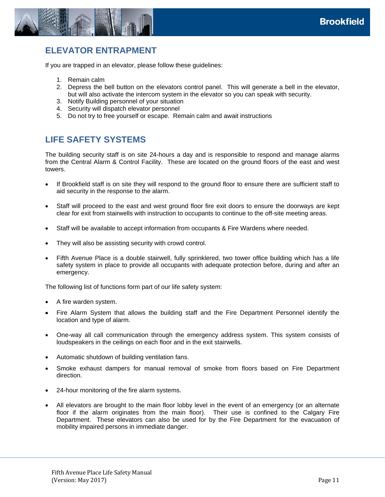

### <span id="page-11-0"></span>**ELEVATOR ENTRAPMENT**

If you are trapped in an elevator, please follow these guidelines:

- 1. Remain calm
- 2. Depress the bell button on the elevators control panel. This will generate a bell in the elevator, but will also activate the intercom system in the elevator so you can speak with security.
- 3. Notify Building personnel of your situation
- 4. Security will dispatch elevator personnel
- <span id="page-11-1"></span>5. Do not try to free yourself or escape. Remain calm and await instructions

### **LIFE SAFETY SYSTEMS**

The building security staff is on site 24-hours a day and is responsible to respond and manage alarms from the Central Alarm & Control Facility. These are located on the ground floors of the east and west towers.

- If Brookfield staff is on site they will respond to the ground floor to ensure there are sufficient staff to aid security in the response to the alarm.
- Staff will proceed to the east and west ground floor fire exit doors to ensure the doorways are kept clear for exit from stairwells with instruction to occupants to continue to the off-site meeting areas.
- Staff will be available to accept information from occupants & Fire Wardens where needed.
- They will also be assisting security with crowd control.
- Fifth Avenue Place is a double stairwell, fully sprinklered, two tower office building which has a life safety system in place to provide all occupants with adequate protection before, during and after an emergency.

The following list of functions form part of our life safety system:

- A fire warden system.
- Fire Alarm System that allows the building staff and the Fire Department Personnel identify the location and type of alarm.
- One-way all call communication through the emergency address system. This system consists of loudspeakers in the ceilings on each floor and in the exit stairwells.
- Automatic shutdown of building ventilation fans.
- Smoke exhaust dampers for manual removal of smoke from floors based on Fire Department direction.
- 24-hour monitoring of the fire alarm systems.
- All elevators are brought to the main floor lobby level in the event of an emergency (or an alternate floor if the alarm originates from the main floor). Their use is confined to the Calgary Fire Department. These elevators can also be used for by the Fire Department for the evacuation of mobility impaired persons in immediate danger.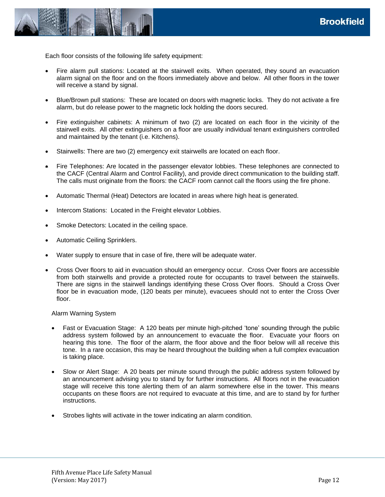

Each floor consists of the following life safety equipment:

- Fire alarm pull stations: Located at the stairwell exits. When operated, they sound an evacuation alarm signal on the floor and on the floors immediately above and below. All other floors in the tower will receive a stand by signal.
- Blue/Brown pull stations: These are located on doors with magnetic locks. They do not activate a fire alarm, but do release power to the magnetic lock holding the doors secured.
- Fire extinguisher cabinets: A minimum of two (2) are located on each floor in the vicinity of the stairwell exits. All other extinguishers on a floor are usually individual tenant extinguishers controlled and maintained by the tenant (i.e. Kitchens).
- Stairwells: There are two (2) emergency exit stairwells are located on each floor.
- Fire Telephones: Are located in the passenger elevator lobbies. These telephones are connected to the CACF (Central Alarm and Control Facility), and provide direct communication to the building staff. The calls must originate from the floors: the CACF room cannot call the floors using the fire phone.
- Automatic Thermal (Heat) Detectors are located in areas where high heat is generated.
- Intercom Stations: Located in the Freight elevator Lobbies.
- Smoke Detectors: Located in the ceiling space.
- Automatic Ceiling Sprinklers.
- Water supply to ensure that in case of fire, there will be adequate water.
- Cross Over floors to aid in evacuation should an emergency occur. Cross Over floors are accessible from both stairwells and provide a protected route for occupants to travel between the stairwells. There are signs in the stairwell landings identifying these Cross Over floors. Should a Cross Over floor be in evacuation mode, (120 beats per minute), evacuees should not to enter the Cross Over floor.

#### Alarm Warning System

- Fast or Evacuation Stage: A 120 beats per minute high-pitched 'tone' sounding through the public address system followed by an announcement to evacuate the floor. Evacuate your floors on hearing this tone. The floor of the alarm, the floor above and the floor below will all receive this tone. In a rare occasion, this may be heard throughout the building when a full complex evacuation is taking place.
- Slow or Alert Stage: A 20 beats per minute sound through the public address system followed by an announcement advising you to stand by for further instructions. All floors not in the evacuation stage will receive this tone alerting them of an alarm somewhere else in the tower. This means occupants on these floors are not required to evacuate at this time, and are to stand by for further instructions.
- Strobes lights will activate in the tower indicating an alarm condition.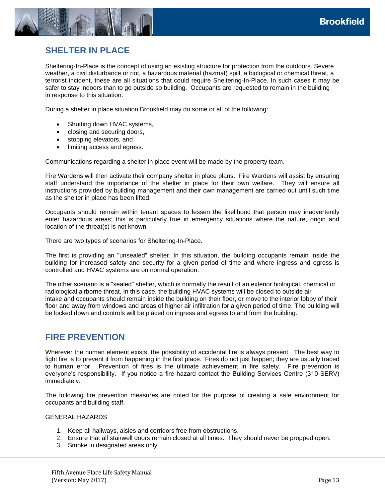

### <span id="page-13-0"></span>**SHELTER IN PLACE**

Sheltering-In-Place is the concept of using an existing structure for protection from the outdoors. Severe weather, a civil disturbance or riot, a hazardous material (hazmat) spill, a biological or chemical threat, a terrorist incident, these are all situations that could require Sheltering-In-Place. In such cases it may be safer to stay indoors than to go outside so building. Occupants are requested to remain in the building in response to this situation.

During a shelter in place situation Brookfield may do some or all of the following:

- Shutting down HVAC systems,
- closing and securing doors,
- stopping elevators, and
- limiting access and egress.

Communications regarding a shelter in place event will be made by the property team.

Fire Wardens will then activate their company shelter in place plans. Fire Wardens will assist by ensuring staff understand the importance of the shelter in place for their own welfare. They will ensure all instructions provided by building management and their own management are carried out until such time as the shelter in place has been lifted.

Occupants should remain within tenant spaces to lessen the likelihood that person may inadvertently enter hazardous areas; this is particularly true in emergency situations where the nature, origin and location of the threat(s) is not known.

There are two types of scenarios for Sheltering-In-Place.

The first is providing an "unsealed" shelter. In this situation, the building occupants remain inside the building for increased safety and security for a given period of time and where ingress and egress is controlled and HVAC systems are on normal operation.

The other scenario is a "sealed" shelter, which is normally the result of an exterior biological, chemical or radiological airborne threat. In this case, the building HVAC systems will be closed to outside air intake and occupants should remain inside the building on their floor, or move to the interior lobby of their floor and away from windows and areas of higher air infiltration for a given period of time. The building will be locked down and controls will be placed on ingress and egress to and from the building.

#### <span id="page-13-1"></span>**FIRE PREVENTION**

Wherever the human element exists, the possibility of accidental fire is always present. The best way to fight fire is to prevent it from happening in the first place. Fires do not just happen; they are usually traced to human error. Prevention of fires is the ultimate achievement in fire safety. Fire prevention is everyone's responsibility. If you notice a fire hazard contact the Building Services Centre (310-SERV) immediately.

The following fire prevention measures are noted for the purpose of creating a safe environment for occupants and building staff.

#### GENERAL HAZARDS

- 1. Keep all hallways, aisles and corridors free from obstructions.
- 2. Ensure that all stairwell doors remain closed at all times. They should never be propped open.
- 3. Smoke in designated areas only.